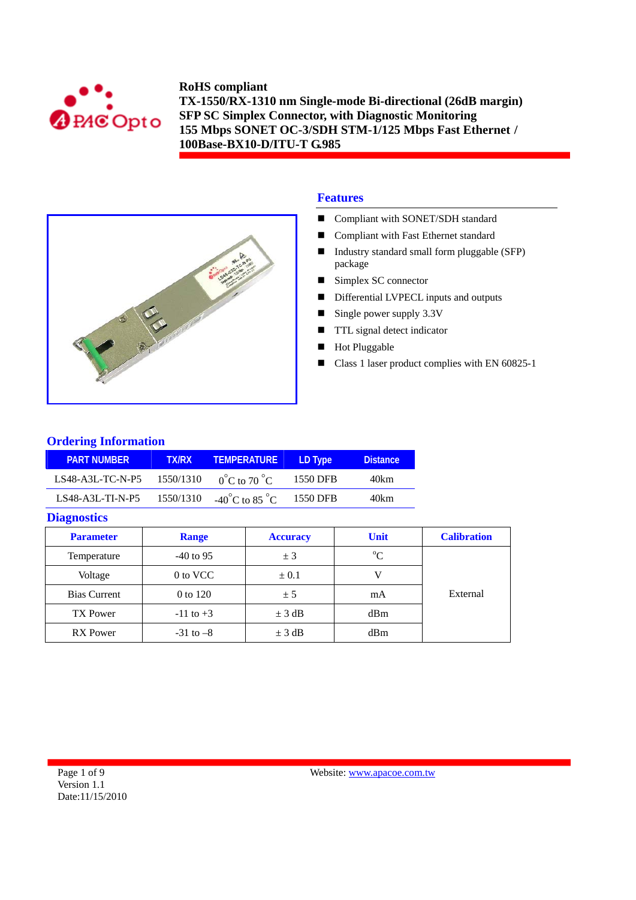



## **Features**

- Compliant with SONET/SDH standard
- Compliant with Fast Ethernet standard
- Industry standard small form pluggable (SFP) package
- Simplex SC connector
- Differential LVPECL inputs and outputs
- Single power supply  $3.3V$
- **TTL** signal detect indicator
- Hot Pluggable
- Class 1 laser product complies with EN 60825-1

### **Ordering Information**

| <b>PART NUMBER</b> | <b>TX/RX</b> | <b>TEMPERATURE</b>                 | LD Type  | <b>Distance</b> |
|--------------------|--------------|------------------------------------|----------|-----------------|
| $LS48-A3L-TC-N-P5$ | 1550/1310    | $0^{\circ}$ C to 70 $^{\circ}$ C   | 1550 DFB | 40km            |
| $LS48-A3L-TI-N-P5$ | 1550/1310    | $-40^{\circ}$ C to 85 $^{\circ}$ C | 1550 DFB | 40km            |

### **Diagnostics**

| <b>Parameter</b>    | <b>Range</b>  | <b>Accuracy</b> | <b>Unit</b> | <b>Calibration</b> |
|---------------------|---------------|-----------------|-------------|--------------------|
| Temperature         | $-40$ to 95   | ± 3             | $^{\circ}C$ |                    |
| Voltage             | 0 to VCC      | $\pm 0.1$       |             |                    |
| <b>Bias Current</b> | 0 to 120      | ± 5             | mA          | External           |
| TX Power            | $-11$ to $+3$ | $\pm$ 3 dB      | dBm         |                    |
| <b>RX</b> Power     | $-31$ to $-8$ | $\pm$ 3 dB      | dBm         |                    |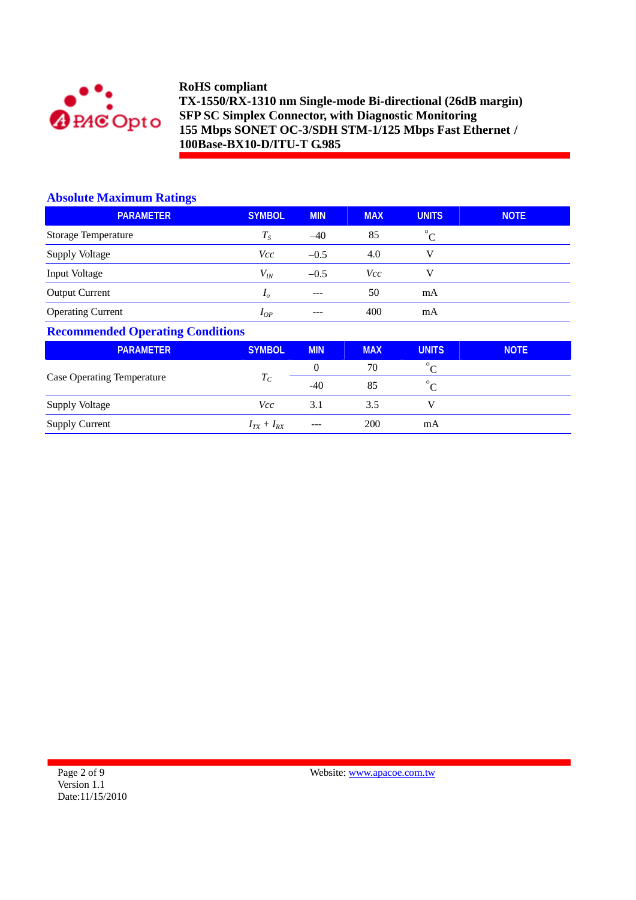

## **Absolute Maximum Ratings**

| <b>PARAMETER</b>         | <b>SYMBOL</b>  | <b>MIN</b>    | <b>MAX</b> | <b>UNITS</b> | <b>NOTE</b> |
|--------------------------|----------------|---------------|------------|--------------|-------------|
| Storage Temperature      | $T_S$          | $-40$         | 85         | $^{\circ}C$  |             |
| Supply Voltage           | Vcc            | $-0.5$        | 4.0        | v            |             |
| Input Voltage            | $V_{I\!N}$     | $-0.5$        | Vcc        | v            |             |
| <b>Output Current</b>    | I <sub>o</sub> | $\frac{1}{2}$ | 50         | mA           |             |
| <b>Operating Current</b> | $I_{OP}$       | $- - -$       | 400        | mA           |             |

### **Recommended Operating Conditions**

| <b>PARAMETER</b>                  | <b>SYMBOL</b>     | <b>MIN</b> | <b>MAX</b> | <b>UNITS</b> | <b>NOTE</b> |
|-----------------------------------|-------------------|------------|------------|--------------|-------------|
|                                   |                   | $\theta$   | 70         | $\circ$      |             |
| <b>Case Operating Temperature</b> | $I_C$             | $-40$      | 85         | $\circ$      |             |
| <b>Supply Voltage</b>             | <i>Vcc</i>        | 3.1        | 3.5        |              |             |
| <b>Supply Current</b>             | $I_{TX} + I_{RX}$ | ---        | 200        | mA           |             |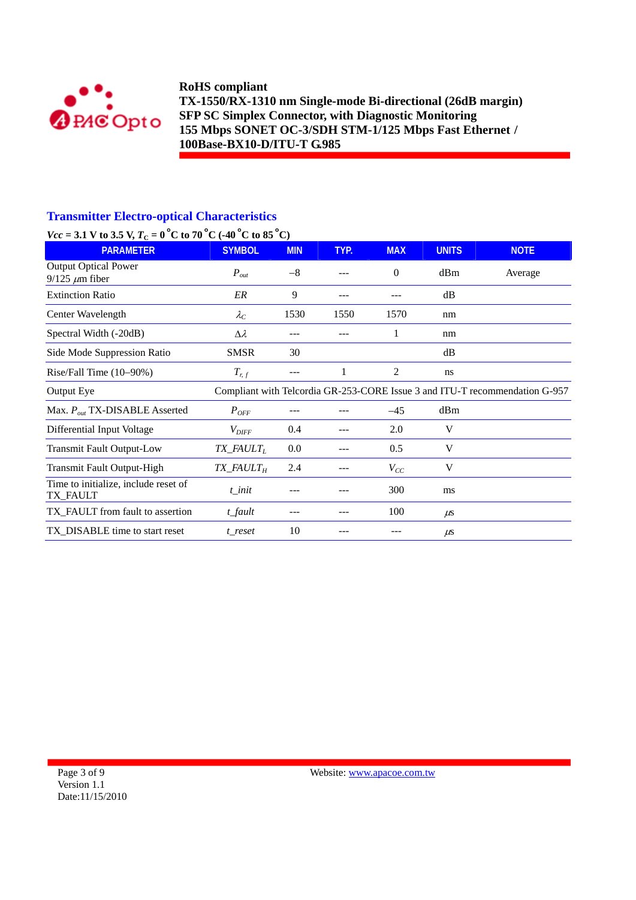

## **Transmitter Electro-optical Characteristics**

# *Vcc* = 3.1 V to 3.5 V,  $T_c$  = 0<sup>°</sup>C to 70<sup>°</sup>C (-40<sup>°</sup>C to 85<sup>°</sup>C)

| $\mathbf{r} \mathbf{u} - \mathbf{v} \mathbf{u} + \mathbf{w} \mathbf{v} \mathbf{v}$ $\mathbf{v} \mathbf{u} + \mathbf{v} \mathbf{v} \mathbf{v}$ to $\mathbf{v} \mathbf{v} + \mathbf{v} \mathbf{v}$<br><b>PARAMETER</b> | <b>SYMBOL</b>                      | <b>MIN</b> | TYP. | <b>MAX</b> | <b>UNITS</b> | <b>NOTE</b>                                                                 |
|----------------------------------------------------------------------------------------------------------------------------------------------------------------------------------------------------------------------|------------------------------------|------------|------|------------|--------------|-----------------------------------------------------------------------------|
| <b>Output Optical Power</b><br>$9/125 \ \mu m$ fiber                                                                                                                                                                 | $P_{out}$                          | $-8$       |      | $\Omega$   | dBm          | Average                                                                     |
| <b>Extinction Ratio</b>                                                                                                                                                                                              | ER                                 | 9          | ---  |            | dB           |                                                                             |
| Center Wavelength                                                                                                                                                                                                    | $\lambda_C$                        | 1530       | 1550 | 1570       | nm           |                                                                             |
| Spectral Width (-20dB)                                                                                                                                                                                               | $\Delta \lambda$                   |            |      | 1          | nm           |                                                                             |
| Side Mode Suppression Ratio                                                                                                                                                                                          | <b>SMSR</b>                        | 30         |      |            | dB           |                                                                             |
| Rise/Fall Time (10-90%)                                                                                                                                                                                              | $T_{r,f}$                          | ---        | 1    | 2          | ns           |                                                                             |
| Output Eye                                                                                                                                                                                                           |                                    |            |      |            |              | Compliant with Telcordia GR-253-CORE Issue 3 and ITU-T recommendation G-957 |
| Max. $P_{out}$ TX-DISABLE Asserted                                                                                                                                                                                   | $P_{OFF}$                          |            |      | $-45$      | dBm          |                                                                             |
| Differential Input Voltage                                                                                                                                                                                           | $V_{\mathit{DIFF}}$                | 0.4        |      | 2.0        | V            |                                                                             |
| <b>Transmit Fault Output-Low</b>                                                                                                                                                                                     | $TX$ <sub>_FAULT<sub>L</sub></sub> | 0.0        | ---  | 0.5        | V            |                                                                             |
| Transmit Fault Output-High                                                                                                                                                                                           | <i>TX_FAULT<sub>H</sub></i>        | 2.4        |      | $V_{CC}$   | V            |                                                                             |
| Time to initialize, include reset of<br>TX_FAULT                                                                                                                                                                     | t init                             |            |      | 300        | ms           |                                                                             |
| TX_FAULT from fault to assertion                                                                                                                                                                                     | t_fault                            | ---        |      | 100        | $\mu$ s      |                                                                             |
| TX_DISABLE time to start reset                                                                                                                                                                                       | t reset                            | 10         |      |            | $\mu$ s      |                                                                             |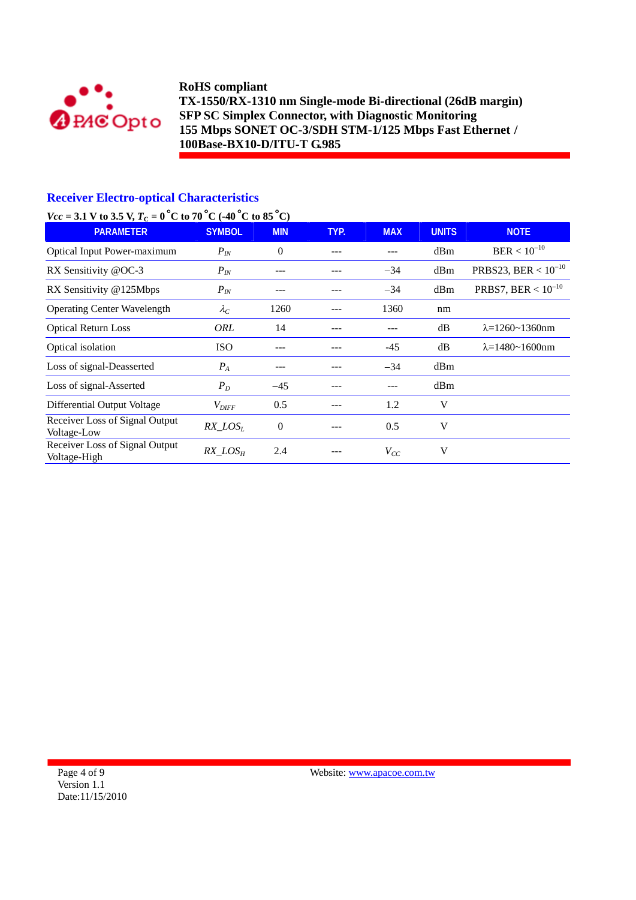

## **Receiver Electro-optical Characteristics**

# *Vcc* = 3.1 V to 3.5 V,  $T_c$  = 0 °C to 70 °C (-40 °C to 85 °C)

| $\frac{1}{2}$ to the $\frac{1}{2}$ in $\frac{1}{2}$ is the set of $\frac{1}{2}$ in $\frac{1}{2}$ is the set of $\frac{1}{2}$<br><b>PARAMETER</b> | <b>SYMBOL</b>     | <b>MIN</b>       | TYP. | <b>MAX</b> | <b>UNITS</b> | <b>NOTE</b>                |
|--------------------------------------------------------------------------------------------------------------------------------------------------|-------------------|------------------|------|------------|--------------|----------------------------|
| Optical Input Power-maximum                                                                                                                      | $P_{IN}$          | $\Omega$         |      |            | dBm          | $BER < 10^{-10}$           |
| RX Sensitivity @OC-3                                                                                                                             | $P_{IN}$          | ---              |      | $-34$      | dBm          | PRBS23, BER < $10^{-10}$   |
| RX Sensitivity @125Mbps                                                                                                                          | $P_{IN}$          | ---              |      | $-34$      | dBm          | PRBS7, BER < $10^{-10}$    |
| <b>Operating Center Wavelength</b>                                                                                                               | $\lambda_C$       | 1260             |      | 1360       | nm           |                            |
| <b>Optical Return Loss</b>                                                                                                                       | ORL               | 14               |      | ---        | dB           | $\lambda = 1260 - 1360$ nm |
| Optical isolation                                                                                                                                | <b>ISO</b>        | ---              |      | $-45$      | dB           | $\lambda = 1480 - 1600$ nm |
| Loss of signal-Deasserted                                                                                                                        | $P_{A}$           | ---              |      | $-34$      | dBm          |                            |
| Loss of signal-Asserted                                                                                                                          | $P_D$             | $-45$            |      | ---        | dBm          |                            |
| Differential Output Voltage                                                                                                                      | $V_{\text{DIFF}}$ | 0.5              |      | 1.2        | V            |                            |
| Receiver Loss of Signal Output<br>Voltage-Low                                                                                                    | $RX\_LOS_L$       | $\boldsymbol{0}$ | ---  | 0.5        | V            |                            |
| Receiver Loss of Signal Output<br>Voltage-High                                                                                                   | $RX\_LOS_H$       | 2.4              |      | $V_{CC}$   | V            |                            |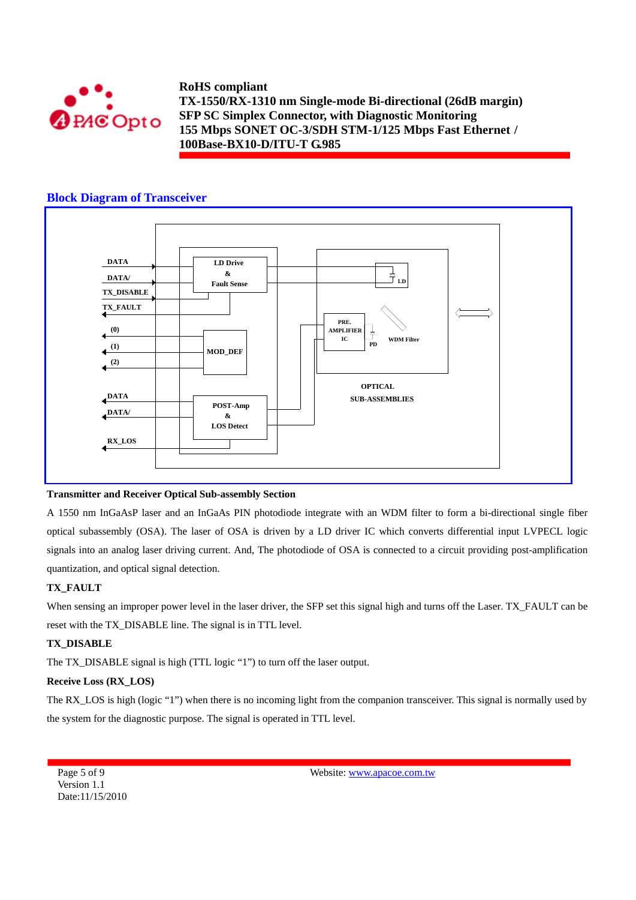

### **Block Diagram of Transceiver**



#### **Transmitter and Receiver Optical Sub-assembly Section**

A 1550 nm InGaAsP laser and an InGaAs PIN photodiode integrate with an WDM filter to form a bi-directional single fiber optical subassembly (OSA). The laser of OSA is driven by a LD driver IC which converts differential input LVPECL logic signals into an analog laser driving current. And, The photodiode of OSA is connected to a circuit providing post-amplification quantization, and optical signal detection.

### **TX\_FAULT**

When sensing an improper power level in the laser driver, the SFP set this signal high and turns off the Laser. TX\_FAULT can be reset with the TX\_DISABLE line. The signal is in TTL level.

### **TX\_DISABLE**

The TX\_DISABLE signal is high (TTL logic "1") to turn off the laser output.

#### **Receive Loss (RX\_LOS)**

The RX\_LOS is high (logic "1") when there is no incoming light from the companion transceiver. This signal is normally used by the system for the diagnostic purpose. The signal is operated in TTL level.

Page 5 of 9 Version 1.1 Date:11/15/2010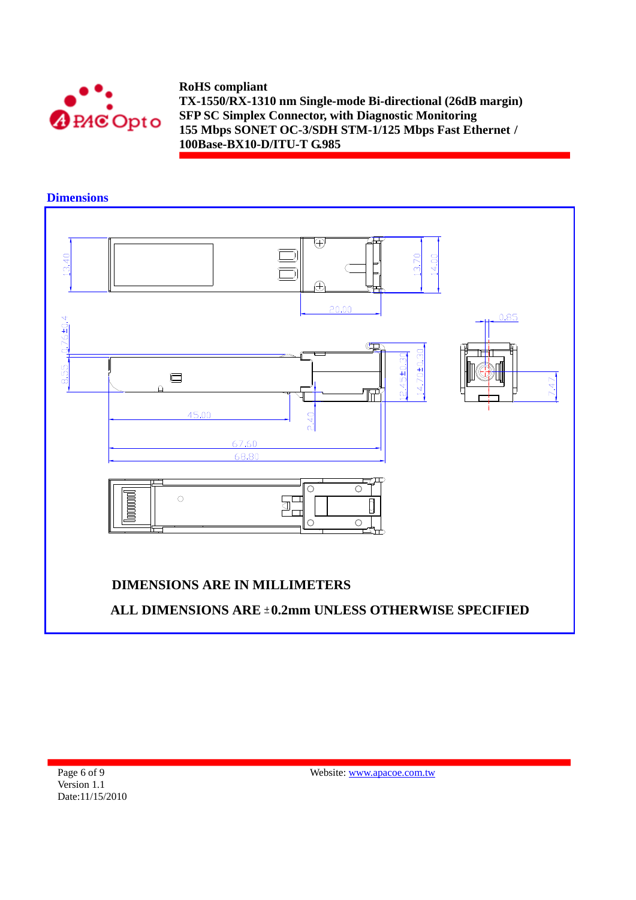



**Dimensions** 

Page 6 of 9 Version 1.1 Date:11/15/2010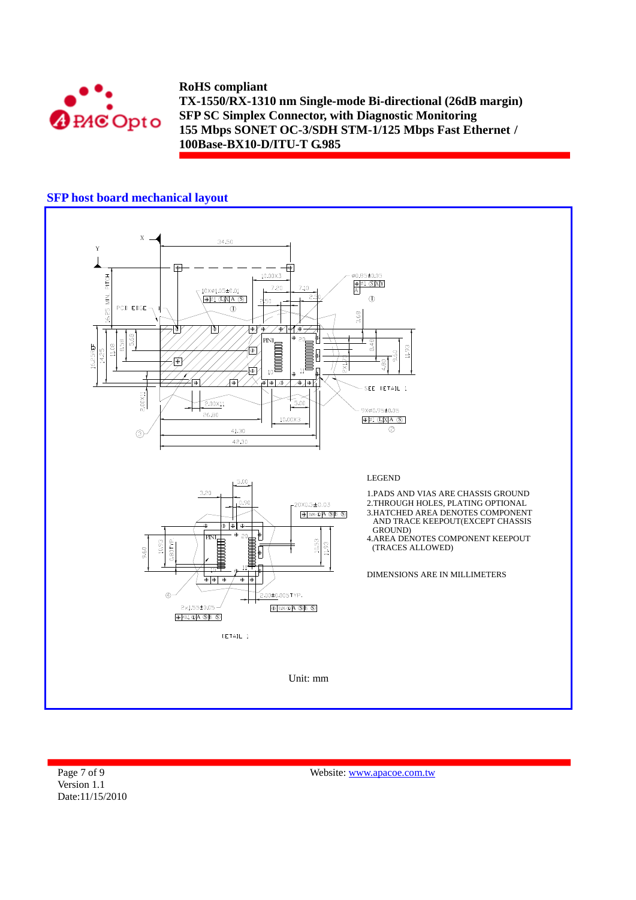

## **SFP host board mechanical layout**



Page 7 of 9 Version 1.1 Date:11/15/2010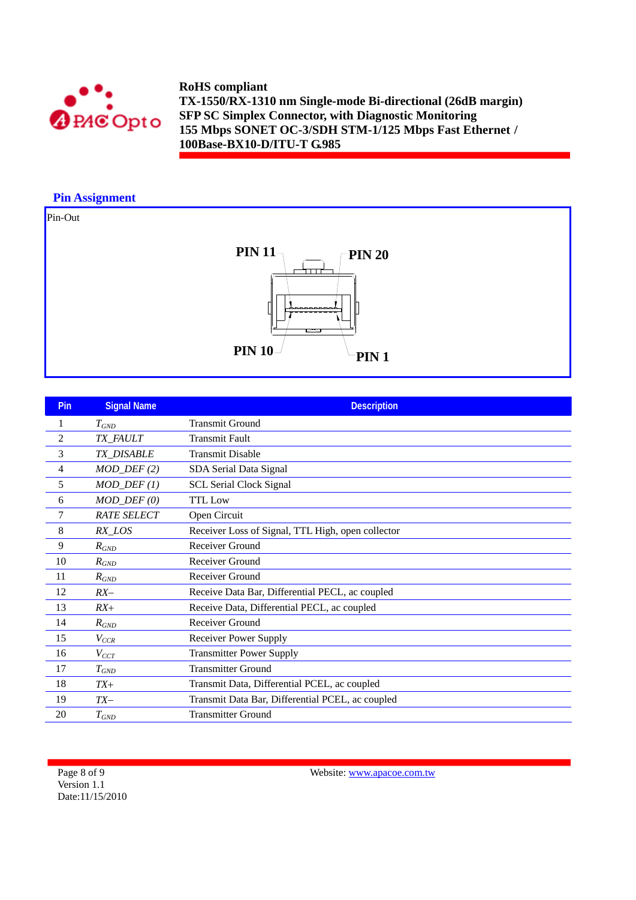

## **Pin Assignment**

# Pin-Out



| <b>Pin</b>     | <b>Signal Name</b>      | <b>Description</b>                                |
|----------------|-------------------------|---------------------------------------------------|
|                | $T_{GND}$               | <b>Transmit Ground</b>                            |
| $\overline{c}$ | TX_FAULT                | <b>Transmit Fault</b>                             |
| 3              | TX_DISABLE              | <b>Transmit Disable</b>                           |
| 4              | $MOD_$ <i>DEF</i> $(2)$ | SDA Serial Data Signal                            |
| 5              | $MOD_DEF(1)$            | <b>SCL Serial Clock Signal</b>                    |
| 6              | $MOD_DEF(0)$            | <b>TTL</b> Low                                    |
| 7              | <b>RATE SELECT</b>      | Open Circuit                                      |
| 8              | RX_LOS                  | Receiver Loss of Signal, TTL High, open collector |
| 9              | $R_{GND}$               | Receiver Ground                                   |
| 10             | $R_{GND}$               | Receiver Ground                                   |
| 11             | $R_{GND}$               | Receiver Ground                                   |
| 12             | $RX-$                   | Receive Data Bar, Differential PECL, ac coupled   |
| 13             | $RX+$                   | Receive Data, Differential PECL, ac coupled       |
| 14             | $R_{GND}$               | Receiver Ground                                   |
| 15             | $V_{CCR}$               | <b>Receiver Power Supply</b>                      |
| 16             | $V_{CCT}$               | <b>Transmitter Power Supply</b>                   |
| 17             | $T_{GND}$               | <b>Transmitter Ground</b>                         |
| 18             | $TX+$                   | Transmit Data, Differential PCEL, ac coupled      |
| 19             | $TX-$                   | Transmit Data Bar, Differential PCEL, ac coupled  |
| 20             | $T_{GND}$               | <b>Transmitter Ground</b>                         |

Page 8 of 9 Version 1.1 Date:11/15/2010